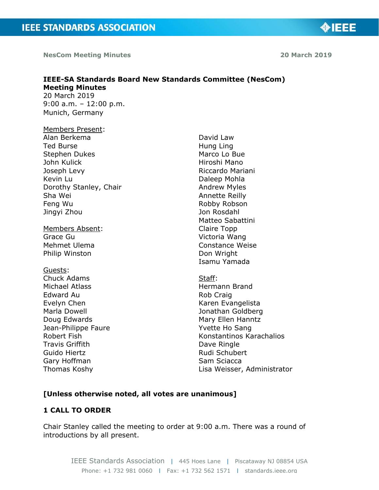**NesCom Meeting Minutes 20 March 2019**

**OIEEE** 

#### **IEEE-SA Standards Board New Standards Committee (NesCom) Meeting Minutes**  20 March 2019 9:00 a.m. – 12:00 p.m.

Munich, Germany

## Members Present: Alan Berkema Ted Burse Stephen Dukes John Kulick Joseph Levy Kevin Lu Dorothy Stanley, Chair Sha Wei Feng Wu Jingyi Zhou

Members Absent: Grace Gu Mehmet Ulema Philip Winston

### Guests:

Chuck Adams Michael Atlass Edward Au Evelyn Chen Marla Dowell Doug Edwards Jean-Philippe Faure Robert Fish Travis Griffith Guido Hiertz Gary Hoffman Thomas Koshy

David Law Hung Ling Marco Lo Bue Hiroshi Mano Riccardo Mariani Daleep Mohla Andrew Myles Annette Reilly Robby Robson Jon Rosdahl Matteo Sabattini Claire Topp Victoria Wang Constance Weise Don Wright Isamu Yamada

### Staff: Hermann Brand Rob Craig Karen Evangelista Jonathan Goldberg Mary Ellen Hanntz Yvette Ho Sang Konstantinos Karachalios Dave Ringle Rudi Schubert Sam Sciacca Lisa Weisser, Administrator

# **[Unless otherwise noted, all votes are unanimous]**

# **1 CALL TO ORDER**

Chair Stanley called the meeting to order at 9:00 a.m. There was a round of introductions by all present.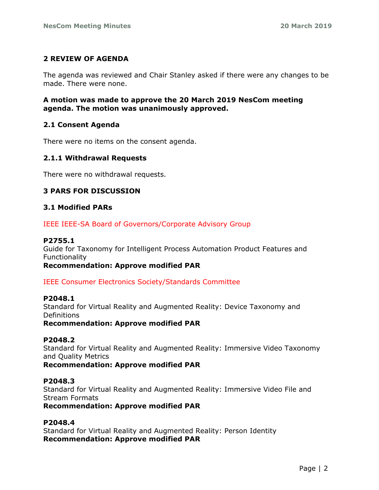# **2 REVIEW OF AGENDA**

The agenda was reviewed and Chair Stanley asked if there were any changes to be made. There were none.

# **A motion was made to approve the 20 March 2019 NesCom meeting agenda. The motion was unanimously approved.**

# **2.1 Consent Agenda**

There were no items on the consent agenda.

## **2.1.1 Withdrawal Requests**

There were no withdrawal requests.

# **3 PARS FOR DISCUSSION**

## **3.1 Modified PARs**

IEEE IEEE-SA Board of Governors/Corporate Advisory Group

### **P2755.1**

Guide for Taxonomy for Intelligent Process Automation Product Features and Functionality

**Recommendation: Approve modified PAR**

IEEE Consumer Electronics Society/Standards Committee

### **P2048.1**

Standard for Virtual Reality and Augmented Reality: Device Taxonomy and **Definitions** 

**Recommendation: Approve modified PAR**

### **P2048.2**

Standard for Virtual Reality and Augmented Reality: Immersive Video Taxonomy and Quality Metrics

**Recommendation: Approve modified PAR**

### **P2048.3**

Standard for Virtual Reality and Augmented Reality: Immersive Video File and Stream Formats

**Recommendation: Approve modified PAR**

# **P2048.4**

Standard for Virtual Reality and Augmented Reality: Person Identity **Recommendation: Approve modified PAR**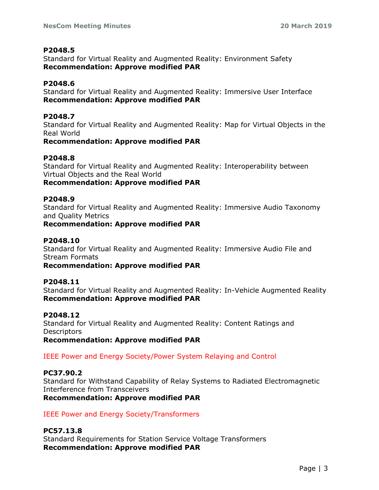## **P2048.5**

Standard for Virtual Reality and Augmented Reality: Environment Safety **Recommendation: Approve modified PAR**

# **P2048.6**

Standard for Virtual Reality and Augmented Reality: Immersive User Interface **Recommendation: Approve modified PAR**

## **P2048.7**

Standard for Virtual Reality and Augmented Reality: Map for Virtual Objects in the Real World

## **Recommendation: Approve modified PAR**

## **P2048.8**

Standard for Virtual Reality and Augmented Reality: Interoperability between Virtual Objects and the Real World

**Recommendation: Approve modified PAR**

## **P2048.9**

Standard for Virtual Reality and Augmented Reality: Immersive Audio Taxonomy and Quality Metrics

**Recommendation: Approve modified PAR**

## **P2048.10**

Standard for Virtual Reality and Augmented Reality: Immersive Audio File and Stream Formats

**Recommendation: Approve modified PAR**

### **P2048.11**

Standard for Virtual Reality and Augmented Reality: In-Vehicle Augmented Reality **Recommendation: Approve modified PAR**

### **P2048.12**

Standard for Virtual Reality and Augmented Reality: Content Ratings and **Descriptors** 

**Recommendation: Approve modified PAR**

IEEE Power and Energy Society/Power System Relaying and Control

# **PC37.90.2**

Standard for Withstand Capability of Relay Systems to Radiated Electromagnetic Interference from Transceivers **Recommendation: Approve modified PAR**

# IEEE Power and Energy Society/Transformers

# **PC57.13.8**

Standard Requirements for Station Service Voltage Transformers **Recommendation: Approve modified PAR**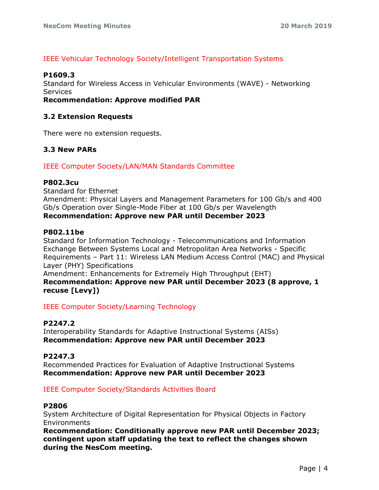# IEEE Vehicular Technology Society/Intelligent Transportation Systems

### **P1609.3**

Standard for Wireless Access in Vehicular Environments (WAVE) - Networking Services

**Recommendation: Approve modified PAR**

### **3.2 Extension Requests**

There were no extension requests.

## **3.3 New PARs**

IEEE Computer Society/LAN/MAN Standards Committee

#### **P802.3cu**

Standard for Ethernet Amendment: Physical Layers and Management Parameters for 100 Gb/s and 400 Gb/s Operation over Single-Mode Fiber at 100 Gb/s per Wavelength **Recommendation: Approve new PAR until December 2023**

#### **P802.11be**

Standard for Information Technology - Telecommunications and Information Exchange Between Systems Local and Metropolitan Area Networks - Specific Requirements – Part 11: Wireless LAN Medium Access Control (MAC) and Physical Layer (PHY) Specifications

Amendment: Enhancements for Extremely High Throughput (EHT) **Recommendation: Approve new PAR until December 2023 (8 approve, 1 recuse [Levy])**

IEEE Computer Society/Learning Technology

### **P2247.2**

Interoperability Standards for Adaptive Instructional Systems (AISs) **Recommendation: Approve new PAR until December 2023**

### **P2247.3**

Recommended Practices for Evaluation of Adaptive Instructional Systems **Recommendation: Approve new PAR until December 2023**

### IEEE Computer Society/Standards Activities Board

#### **P2806**

System Architecture of Digital Representation for Physical Objects in Factory **Environments** 

**Recommendation: Conditionally approve new PAR until December 2023; contingent upon staff updating the text to reflect the changes shown during the NesCom meeting.**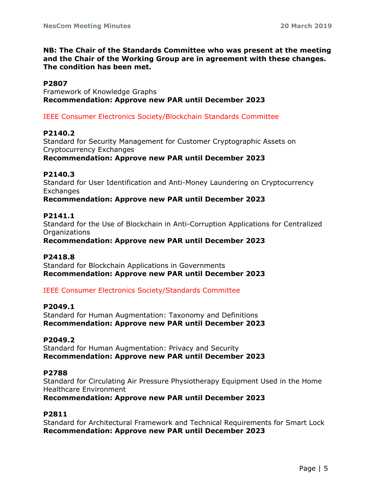### **NB: The Chair of the Standards Committee who was present at the meeting and the Chair of the Working Group are in agreement with these changes. The condition has been met.**

## **P2807**

Framework of Knowledge Graphs **Recommendation: Approve new PAR until December 2023**

### IEEE Consumer Electronics Society/Blockchain Standards Committee

### **P2140.2**

Standard for Security Management for Customer Cryptographic Assets on Cryptocurrency Exchanges

**Recommendation: Approve new PAR until December 2023**

### **P2140.3**

Standard for User Identification and Anti-Money Laundering on Cryptocurrency Exchanges

#### **Recommendation: Approve new PAR until December 2023**

### **P2141.1**

Standard for the Use of Blockchain in Anti-Corruption Applications for Centralized **Organizations** 

**Recommendation: Approve new PAR until December 2023**

### **P2418.8**

Standard for Blockchain Applications in Governments **Recommendation: Approve new PAR until December 2023**

### IEEE Consumer Electronics Society/Standards Committee

#### **P2049.1**

Standard for Human Augmentation: Taxonomy and Definitions **Recommendation: Approve new PAR until December 2023**

### **P2049.2**

Standard for Human Augmentation: Privacy and Security **Recommendation: Approve new PAR until December 2023**

#### **P2788**

Standard for Circulating Air Pressure Physiotherapy Equipment Used in the Home Healthcare Environment

**Recommendation: Approve new PAR until December 2023**

### **P2811**

Standard for Architectural Framework and Technical Requirements for Smart Lock **Recommendation: Approve new PAR until December 2023**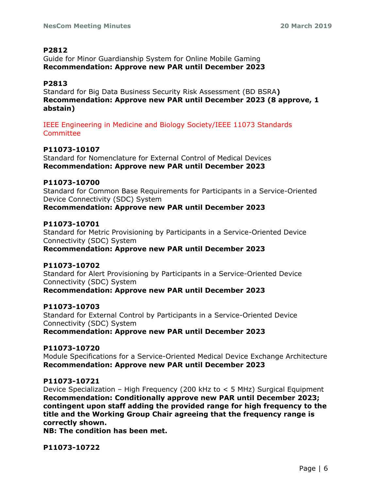## **P2812**

Guide for Minor Guardianship System for Online Mobile Gaming **Recommendation: Approve new PAR until December 2023**

# **P2813**

Standard for Big Data Business Security Risk Assessment (BD BSRA**) Recommendation: Approve new PAR until December 2023 (8 approve, 1 abstain)**

IEEE Engineering in Medicine and Biology Society/IEEE 11073 Standards **Committee** 

## **P11073-10107**

Standard for Nomenclature for External Control of Medical Devices **Recommendation: Approve new PAR until December 2023**

### **P11073-10700**

Standard for Common Base Requirements for Participants in a Service-Oriented Device Connectivity (SDC) System **Recommendation: Approve new PAR until December 2023**

#### **P11073-10701**

Standard for Metric Provisioning by Participants in a Service-Oriented Device Connectivity (SDC) System **Recommendation: Approve new PAR until December 2023**

### **P11073-10702**

Standard for Alert Provisioning by Participants in a Service-Oriented Device Connectivity (SDC) System

### **Recommendation: Approve new PAR until December 2023**

### **P11073-10703**

Standard for External Control by Participants in a Service-Oriented Device Connectivity (SDC) System **Recommendation: Approve new PAR until December 2023**

### **P11073-10720**

Module Specifications for a Service-Oriented Medical Device Exchange Architecture **Recommendation: Approve new PAR until December 2023**

## **P11073-10721**

Device Specialization – High Frequency (200 kHz to < 5 MHz) Surgical Equipment **Recommendation: Conditionally approve new PAR until December 2023; contingent upon staff adding the provided range for high frequency to the title and the Working Group Chair agreeing that the frequency range is correctly shown.**

**NB: The condition has been met.**

**P11073-10722**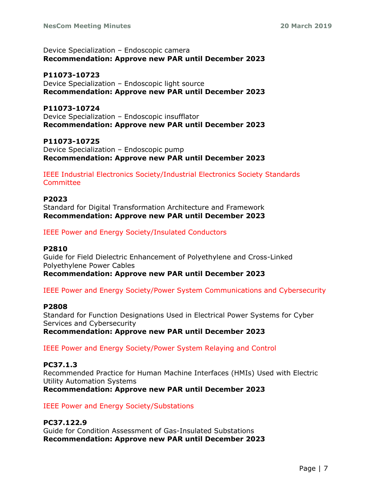Device Specialization – Endoscopic camera **Recommendation: Approve new PAR until December 2023**

**P11073-10723** Device Specialization – Endoscopic light source **Recommendation: Approve new PAR until December 2023**

**P11073-10724** Device Specialization – Endoscopic insufflator **Recommendation: Approve new PAR until December 2023**

**P11073-10725** Device Specialization – Endoscopic pump **Recommendation: Approve new PAR until December 2023**

IEEE Industrial Electronics Society/Industrial Electronics Society Standards **Committee** 

**P2023** Standard for Digital Transformation Architecture and Framework **Recommendation: Approve new PAR until December 2023**

IEEE Power and Energy Society/Insulated Conductors

### **P2810**

Guide for Field Dielectric Enhancement of Polyethylene and Cross-Linked Polyethylene Power Cables

**Recommendation: Approve new PAR until December 2023**

IEEE Power and Energy Society/Power System Communications and Cybersecurity

#### **P2808**

Standard for Function Designations Used in Electrical Power Systems for Cyber Services and Cybersecurity **Recommendation: Approve new PAR until December 2023**

IEEE Power and Energy Society/Power System Relaying and Control

### **PC37.1.3**

Recommended Practice for Human Machine Interfaces (HMIs) Used with Electric Utility Automation Systems **Recommendation: Approve new PAR until December 2023**

IEEE Power and Energy Society/Substations

# **PC37.122.9**

Guide for Condition Assessment of Gas-Insulated Substations **Recommendation: Approve new PAR until December 2023**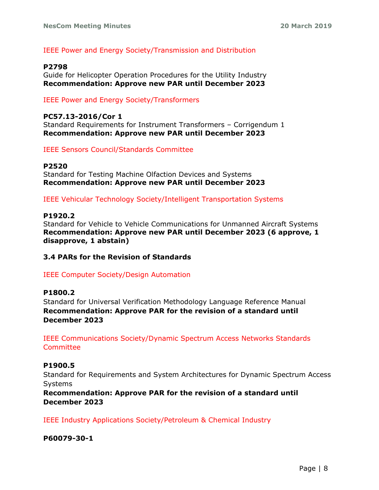IEEE Power and Energy Society/Transmission and Distribution

#### **P2798**

Guide for Helicopter Operation Procedures for the Utility Industry **Recommendation: Approve new PAR until December 2023**

IEEE Power and Energy Society/Transformers

#### **PC57.13-2016/Cor 1**

Standard Requirements for Instrument Transformers – Corrigendum 1 **Recommendation: Approve new PAR until December 2023**

IEEE Sensors Council/Standards Committee

#### **P2520**

Standard for Testing Machine Olfaction Devices and Systems **Recommendation: Approve new PAR until December 2023**

IEEE Vehicular Technology Society/Intelligent Transportation Systems

#### **P1920.2**

Standard for Vehicle to Vehicle Communications for Unmanned Aircraft Systems **Recommendation: Approve new PAR until December 2023 (6 approve, 1 disapprove, 1 abstain)**

### **3.4 PARs for the Revision of Standards**

### IEEE Computer Society/Design Automation

## **P1800.2**

Standard for Universal Verification Methodology Language Reference Manual **Recommendation: Approve PAR for the revision of a standard until December 2023**

IEEE Communications Society/Dynamic Spectrum Access Networks Standards **Committee** 

#### **P1900.5**

Standard for Requirements and System Architectures for Dynamic Spectrum Access Systems

**Recommendation: Approve PAR for the revision of a standard until December 2023**

IEEE Industry Applications Society/Petroleum & Chemical Industry

**P60079-30-1**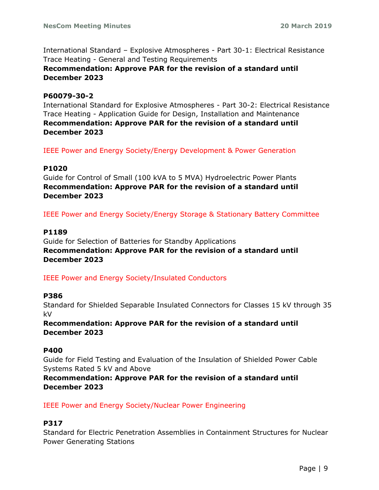International Standard – Explosive Atmospheres - Part 30-1: Electrical Resistance Trace Heating - General and Testing Requirements **Recommendation: Approve PAR for the revision of a standard until December 2023**

### **P60079-30-2**

International Standard for Explosive Atmospheres - Part 30-2: Electrical Resistance Trace Heating - Application Guide for Design, Installation and Maintenance **Recommendation: Approve PAR for the revision of a standard until December 2023**

IEEE Power and Energy Society/Energy Development & Power Generation

#### **P1020**

Guide for Control of Small (100 kVA to 5 MVA) Hydroelectric Power Plants **Recommendation: Approve PAR for the revision of a standard until December 2023**

IEEE Power and Energy Society/Energy Storage & Stationary Battery Committee

#### **P1189**

Guide for Selection of Batteries for Standby Applications **Recommendation: Approve PAR for the revision of a standard until December 2023**

IEEE Power and Energy Society/Insulated Conductors

#### **P386**

Standard for Shielded Separable Insulated Connectors for Classes 15 kV through 35 kV

**Recommendation: Approve PAR for the revision of a standard until December 2023**

#### **P400**

Guide for Field Testing and Evaluation of the Insulation of Shielded Power Cable Systems Rated 5 kV and Above

**Recommendation: Approve PAR for the revision of a standard until December 2023**

IEEE Power and Energy Society/Nuclear Power Engineering

### **P317**

Standard for Electric Penetration Assemblies in Containment Structures for Nuclear Power Generating Stations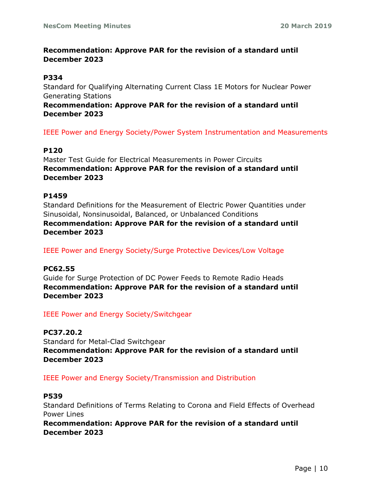# **Recommendation: Approve PAR for the revision of a standard until December 2023**

#### **P334**

Standard for Qualifying Alternating Current Class 1E Motors for Nuclear Power Generating Stations

**Recommendation: Approve PAR for the revision of a standard until December 2023**

IEEE Power and Energy Society/Power System Instrumentation and Measurements

### **P120**

Master Test Guide for Electrical Measurements in Power Circuits **Recommendation: Approve PAR for the revision of a standard until December 2023**

#### **P1459**

Standard Definitions for the Measurement of Electric Power Quantities under Sinusoidal, Nonsinusoidal, Balanced, or Unbalanced Conditions **Recommendation: Approve PAR for the revision of a standard until December 2023**

IEEE Power and Energy Society/Surge Protective Devices/Low Voltage

### **PC62.55**

Guide for Surge Protection of DC Power Feeds to Remote Radio Heads **Recommendation: Approve PAR for the revision of a standard until December 2023**

IEEE Power and Energy Society/Switchgear

### **PC37.20.2**

Standard for Metal-Clad Switchgear **Recommendation: Approve PAR for the revision of a standard until December 2023**

IEEE Power and Energy Society/Transmission and Distribution

### **P539**

Standard Definitions of Terms Relating to Corona and Field Effects of Overhead Power Lines

**Recommendation: Approve PAR for the revision of a standard until December 2023**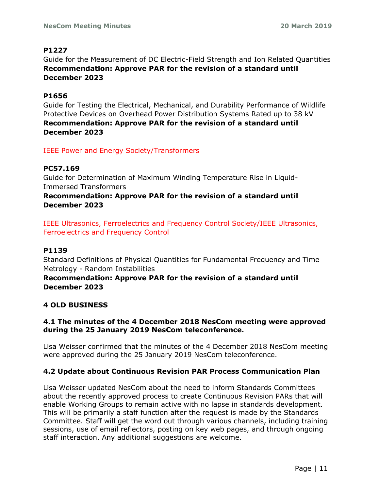# **P1227**

Guide for the Measurement of DC Electric-Field Strength and Ion Related Quantities **Recommendation: Approve PAR for the revision of a standard until December 2023**

# **P1656**

Guide for Testing the Electrical, Mechanical, and Durability Performance of Wildlife Protective Devices on Overhead Power Distribution Systems Rated up to 38 kV **Recommendation: Approve PAR for the revision of a standard until December 2023**

IEEE Power and Energy Society/Transformers

# **PC57.169**

Guide for Determination of Maximum Winding Temperature Rise in Liquid-Immersed Transformers

**Recommendation: Approve PAR for the revision of a standard until December 2023**

IEEE Ultrasonics, Ferroelectrics and Frequency Control Society/IEEE Ultrasonics, Ferroelectrics and Frequency Control

### **P1139**

Standard Definitions of Physical Quantities for Fundamental Frequency and Time Metrology - Random Instabilities

## **Recommendation: Approve PAR for the revision of a standard until December 2023**

### **4 OLD BUSINESS**

## **4.1 The minutes of the 4 December 2018 NesCom meeting were approved during the 25 January 2019 NesCom teleconference.**

Lisa Weisser confirmed that the minutes of the 4 December 2018 NesCom meeting were approved during the 25 January 2019 NesCom teleconference.

# **4.2 Update about Continuous Revision PAR Process Communication Plan**

Lisa Weisser updated NesCom about the need to inform Standards Committees about the recently approved process to create Continuous Revision PARs that will enable Working Groups to remain active with no lapse in standards development. This will be primarily a staff function after the request is made by the Standards Committee. Staff will get the word out through various channels, including training sessions, use of email reflectors, posting on key web pages, and through ongoing staff interaction. Any additional suggestions are welcome.